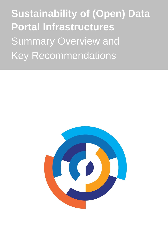**Sustainability of (Open) Data Portal Infrastructures**  Summary Overview and Key Recommendations

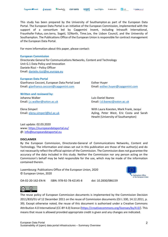This study has been prepared by the University of Southampton as part of the European Data Portal. The European Data Portal is an initiative of the European Commission, implemented with the support of a consortium led by Capgemini Invent, including Intrasoft International, Fraunhofer Fokus, con.terra, Sogeti, 52North, Time.Lex, the Lisbon Council, and the University of Southampton. The Publications Office of the European Union is responsible for contract management of the European Data Portal.

For more information about this paper, please contact:

#### **European Commission**

Directorate General for Communications Networks, Content and Technology Unit G.1 Data Policy and Innovation Daniele Rizzi – Policy Officer Email: [daniele.rizzi@ec.europa.eu](mailto:daniele.rizzi@ec.europa.eu) 

#### **European Data Portal**

Gianfranco Cecconi, European Data Portal Lead Esther Huyer Email: [gianfranco.cecconi@capgemini.com](mailto:gianfranco.cecconi@capgemini.com) Email: [esther.huyer@capgemini.com](mailto:esther.huyer@capgemini.com)

**Written and reviewed by:** Johanna Walker Luis-Daniel Ibanez

Email: [j.c.walker@soton.ac.uk](mailto:j.c.Walker@soton.ac.uk) Email: [l.d.ibanez@soton.ac.uk](mailto:l.d.ibangonzalez@soton.ac.uk)

Elena Simperl With Laura Koesten, Mark Frank, Jacqui Email: [elena.simperl@kcl.ac.uk](mailto:elena.simperl@kcl.ac.uk) Ayling, Peter West, Eric Costa and Sarah Hewitt (University of Southampton)

Last update: 02.03.2020 www:<https://europeandataportal.eu/> @: [info@europeandataportal.eu](mailto:info@europeandataportal.eu) 

#### **DISCLAIMER**

By the European Commission, Directorate-General of Communications Networks, Content and Technology. The information and views set out in this publication are those of the author(s) and do not necessarily reflect the official opinion of the Commission. The Commission does not guarantee the accuracy of the data included in this study. Neither the Commission nor any person acting on the Commission's behalf may be held responsible for the use, which may be made of the information contained therein.

Luxembourg: Publications Office of the European Union, 2020 © European Union, 2020



OA-02-20-162-EN-N ISBN: 978-92-78-42145-8 doi: 10.2830/086159



The reuse policy of European Commission documents is implemented by the Commission Decision 2011/833/EU of 12 December 2011 on the reuse of Commission documents (OJ L 330, 14.12.2011, p. 39). Except otherwise noted, the reuse of this document is authorised under a Creative Commons Attribution 4.0 International (CC-BY 4.0) licence [\(https://creativecommons.org/licenses/by/4.0/\)](https://creativecommons.org/licenses/by/4.0/). This means that reuse is allowed provided appropriate credit is given and any changes are indicated.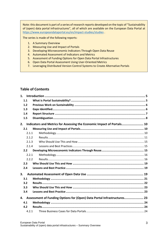Note: this document is part of a series of research reports developed on the topic of "Sustainability of (open) data portal infrastructures", all of which are available on the European Data Portal at <https://www.europeandataportal.eu/en/impact-studies/studies> .

The series is made of the following reports:

- 1. A Summary Overview
- 2. Measuring Use and Impact of Portals
- 3. Developing Microeconomic Indicators Through Open Data Reuse
- 4. Automated Assessment of Indicators and Metrics
- 5. Assessment of Funding Options for Open Data Portal Infrastructures
- 6. Open Data Portal Assessment Using User-Oriented Metrics
- 7. Leveraging Distributed Version Control Systems to Create Alternative Portals

### **Table of Contents**

| 1.               |                                                                         |  |  |
|------------------|-------------------------------------------------------------------------|--|--|
| 1.1              |                                                                         |  |  |
| $1.2$            |                                                                         |  |  |
| 1.3              |                                                                         |  |  |
| 1.4              |                                                                         |  |  |
| 1.5              |                                                                         |  |  |
| 2.               | Indicators and Metrics for Assessing the Economic Impact of Portals 10  |  |  |
| 2.1              |                                                                         |  |  |
| 2.1.1            |                                                                         |  |  |
| 2.1.2            |                                                                         |  |  |
| 2.1.3            |                                                                         |  |  |
| 2.1.4            |                                                                         |  |  |
| 2.2 <sub>2</sub> |                                                                         |  |  |
| 2.2.1            |                                                                         |  |  |
| 2.2.2            |                                                                         |  |  |
| 2.3              |                                                                         |  |  |
| 2.4              |                                                                         |  |  |
| 3.               |                                                                         |  |  |
| 3.1              |                                                                         |  |  |
| 3.2              |                                                                         |  |  |
| 3.3              |                                                                         |  |  |
| 3.4              |                                                                         |  |  |
| 4.               | Assessment of Funding Options for (Open) Data Portal Infrastructures 23 |  |  |
| 4.1              |                                                                         |  |  |
| 4.2              |                                                                         |  |  |
|                  | 4.2.1                                                                   |  |  |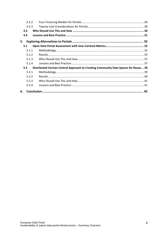|     | 4.2.2 |                                                                                     |  |
|-----|-------|-------------------------------------------------------------------------------------|--|
|     | 4.2.3 |                                                                                     |  |
| 4.3 |       |                                                                                     |  |
| 4.4 |       |                                                                                     |  |
| 5.  |       |                                                                                     |  |
| 5.1 |       |                                                                                     |  |
|     | 5.1.1 |                                                                                     |  |
|     | 5.1.2 |                                                                                     |  |
|     | 5.1.3 |                                                                                     |  |
|     | 5.1.4 |                                                                                     |  |
| 5.2 |       | Distributed Version Control Approach to Creating Community Data Spaces for Reuse 38 |  |
|     | 5.2.1 |                                                                                     |  |
|     | 5.2.2 |                                                                                     |  |
|     | 5.2.3 |                                                                                     |  |
|     | 5.2.4 |                                                                                     |  |
| 6.  |       |                                                                                     |  |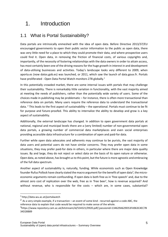# <span id="page-4-0"></span>1. Introduction

# <span id="page-4-1"></span>1.1 What is Portal Sustainability?

Data portals are intrinsically enmeshed with the idea of open data. Before Directive 2013/37/EU encouraged governments to open their public sector information to the public as open data, there was very little need for a place to which they could promote their data, and where prospective users could find it. Open data, in removing the friction of financial costs, of various copyrights and, importantly, of the necessity of fostering relationships with the data owners in order to attain access, has most certainly been one of the driving reasons for the huge growth in interest in and development of data-utilising businesses and activities. Today's landscape looks very different to 2009, when aporta.es (now datos.gob.es) was launched, or 2011, which saw the launch of data.gouv.fr. Portals have proliferated - Open Data Portal Watch monitors 278 globally.<sup>1</sup>

In this potentially crowded market, there are some internal issues with portals that may challenge their sustainability. There is remarkably little variation in functionality, with the vast majority aimed at meeting the needs of publishers, rather than the potentially wide variety of users. Some of the choices made in publishing may be problematic – for instance, there is often more transactional than reference data on portals. Many users require the reference data to understand the transactional data. <sup>2</sup> This leads to the first aspect of sustainability – the operational. Portals must continue to be fit for purpose and future-proofed. This ability to internalize the ability to develop and grow is a key aspect of sustainability.

Additionally, the external landscape has changed. In addition to open government data portals at national, regional and municipal levels there are a (very limited) number of non-governmental open data portals, a growing number of commercial data marketplaces and even social enterprises providing accessible data infrastructure for a combination of open and paid-for data.

Further while open data advocates and adherents may continue to be purists, the vast majority of data users and potential users do not have similar concerns. They may prefer open data in some situations, they may prefer paid-for data in others, in particular where there are major data quality issues. By and large, they do not reject or select data on the basis of its open nature or otherwise. Open data, as noted above, has brought us to this point, but the future is more agnostic and embracing of the full data spectrum.

Another aspect of sustainability is, naturally, funding. While economists such as Open Knowledge founder Rufus Pollock have clearly stated the macro argument for the benefit of open data<sup>3</sup>, the microeconomic arguments remain confounding. If open data is both free as in 'free speech' and, due to the almost zero cost of replication over the web, free as in 'free beer', how is revenue acquired? And without revenue, who is responsible for the costs – which are, in some cases, substantial?

34D28B89

<sup>1</sup> http://data.wu.ac.at/portalwatch

 $2$  As a very simple example, if a transaction – an event of some kind - recurred against a code ABC, the reference data to explain that code would be required to make sense of the whole. 3 https://www.repository.cam.ac.uk/bitstream/id/534321/0920.pdf/;jsessionid=134629A629D53FA963C4EC7B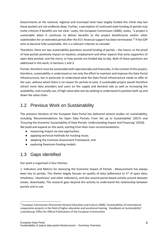Governments at the national, regional and municipal level have largely funded this initial step but these pockets are not endlessly deep. Further, a perception of continued state funding of portals may invite criticism if benefits are not clear. Lastly, the European Commission (2006), states, "a project is sustainable when it continues to deliver benefits to the project beneficiaries and/or other stakeholders for an extended period after the EU's financial support has been terminated."<sup>4</sup> If the EDP aims to become fully sustainable, this is a relevant criterion to consider.

Therefore, there are two sustainability questions around funding of portals – the macro, or the proof of how portals positively impact on taxation, employment and other aspects that early supporters of open data posited, and the micro, or how portals are funded day to day. Both of these questions are addressed in this work, in Sections 1 and 3.

Portals, therefore must be sustainable both operationally and financially. In the context of this project, therefore, sustainability is understood as not only the effort to maintain and improve the Data Portal Infrastructures, but in particular to understand what the Data Portal Infrastructure needs to offer to the user, without which there is no reason for portals to exist. A sustainable project would therefore attract more data providers and users on the supply and demand side as well as increasing the availability, and crucially use, of high value data sets by seeking to understand its position both up and down the value chain.

# <span id="page-5-0"></span>1.2 Previous Work on Sustainability

The previous iteration of the European Data Portal has delivered several studies on sustainability, including 'Recommendations for Open Data Portals: From Set up to Sustainability' (2017) and 'Ensuring the Economic Sustainability of Data Portals: Understanding Impact and Financing' (2018). We build and expand on this work, starting from their main recommendations:

- measuring impact via new approaches;
- applying technical methods for tracking reuse;
- adapting the Common Assessment Framework; and
- exploring freemium funding models.

# <span id="page-5-1"></span>1.3 Gaps Identified

Our work is organised in four themes:

1. Indicators and Metrics for Assessing the Economic Impact of Portals - Measurement has always been key to portals. This theme largely focuses on quality of data (adherence to 5<sup>\*</sup> of open data; timeliness; 'cleanliness' and other indicators), and also around portal-based activity around datasets (views, downloads). The research goes beyond this activity to understand the relationship between portals and re-use.

<sup>4</sup> European Commission Directorate-General Education and Culture (2006) "Sustainability of international cooperation projects in the field of higher education and vocational training - Handbook on Sustainability". Luxembourg: Office for Official Publications of the European Communities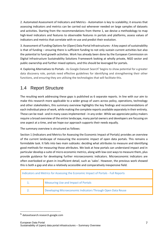2. Automated Assessment of Indicators and Metrics - Automation is key to scalability; it ensures that assessing indicators and metrics can be carried out whenever needed on large samples of datasets and activities. Starting from the recommendations from theme 1, we devise a methodology to map high-level indicators and features to observable features in portals and platforms, assess values of indicators and metrics that correlate with re-use and predict their evolution.

3. Assessment of Funding Options for (Open) Data Portal Infrastructures - A key aspect of sustainability is that of funding – ensuring there is sufficient funding to not only sustain current activities but also the potential to fund growth activities. Work has already been done by the European Commission on Digital Infrastructure Sustainability Solutions Framework looking at wholly private, NGO sector and public ownership and further mixed options, and this should be leveraged for portals.

4. Exploring Alternatives to Portals - As Google Dataset Search<sup>5</sup> begins to show potential for a greater data discovery role, portals need effective guidelines for identifying and strengthening their other functions, and ensuring they are utilising the technologies that will facilitate this.

# <span id="page-6-0"></span>1.4 Report Structure

The resulting work addressing these gaps is published as 6 separate reports. In line with our aim to make this research more applicable to a wider group of users across policy, operations, technology and other stakeholders, this summary overview highlights the key findings and recommendations of each individual piece of work, while making the complete reports available separately in their entirety. These can be read - and in many cases implemented - in any order. While we appreciate policy makers require a broad overview of the entire landscape, many portal owners and developers are focusing on one aspect at a time, and we hope our approach supports their needs equally.

The summary overview is structured as follows:

Section 1 (Indicators and Metrics for Assessing the Economic Impact of Portals) provides an overview of the current landscape of measuring the economic impact of open data portals. This remains a formidable task. It falls into two main subtasks: deciding what attributes to measure and identifying good methods for measuring those attributes. We look at how portals can understand impact and in particular develop a suite of micro-economic metrics, along with low cost ways to measure them, plus provide guidance for developing further microeconomic indicators. Microeconomic indicators are often overlooked or given in insufficient detail, such as 'sales'. However, the previous work showed this is both a gap and also a relatively accessible and comparatively inexpensive field.

| Indicators and Metrics for Assessing the Economic Impact of Portals - Full Reports |                                     |  |
|------------------------------------------------------------------------------------|-------------------------------------|--|
|                                                                                    | Measuring Use and Impact of Portals |  |
| Developing Microeconomic Indicators Through Open Data Reuse                        |                                     |  |

<sup>5</sup> datasetsearch.research.google.com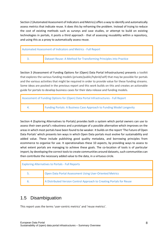Section 2 (Automated Assessment of Indicators and Metrics) offers a way to identify and automatically assess metrics that indicate reuse. It does this by reframing the problem. Instead of trying to reduce the cost of existing methods such as surveys and case studies, or attempt to build on existing technologies in portals, it posits a third approach - that of assessing reusability within a repository, and using this as a proxy to automatically assess reuse.

| Automated Assessment of Indicators and Metrics - Full Report |                                                                   |  |
|--------------------------------------------------------------|-------------------------------------------------------------------|--|
|                                                              | Dataset Reuse: A Method for Transforming Principles into Practice |  |

Section 3 (Assessment of Funding Options for (Open) Data Portal Infrastructures) presents a toolkit that explores the various funding models (private/public/hybrid/self) that may be possible for portals and the various activities that might be required in order to provide value for these funding streams. Some ideas are posited in the previous report and this work builds on this and creates an actionable guide for portals to develop business cases for their data release and funding models.

| Assessment of Funding Options for (Open) Data Portal Infrastructures - Full Report |                                                                      |  |
|------------------------------------------------------------------------------------|----------------------------------------------------------------------|--|
| 4.                                                                                 | Funding Portals: A Business Case Approach to Funding Model Longevity |  |

Section 4 (Exploring Alternatives to Portals) provides both a system which portal owners can use to assess their own portal's robustness and a prototype of a possible alternative which improves on the areas in which most portals have been found to be weaker. It builds on the report 'The Future of Open Data Portals' which presents ten ways in which Open Data portals must evolve for sustainability and added value. These include publishing good quality metadata, and borrowing principles from ecommerce to organise for use. It operationalises these 10 aspects, by providing ways to assess to what extent portals are managing to achieve these goals. The co-location of tools is of particular import; by developing the correct tools to create communities around datasets, such communities can then contribute the necessary added value to the data, in a virtuous circle.

| <b>Exploring Alternatives to Portals - Full Reports</b>                    |                                                         |  |
|----------------------------------------------------------------------------|---------------------------------------------------------|--|
| 5.                                                                         | Open Data Portal Assessment Using User-Oriented Metrics |  |
| A Distributed Version Control Approach to Creating Portals for Reuse<br>6. |                                                         |  |

# <span id="page-7-0"></span>1.5 Disambiguation

This report uses the terms 'user-centric metrics' and 'reuse metrics'.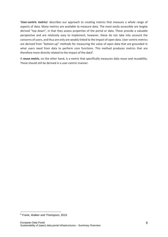**'User-centric metrics**' describes our approach to creating metrics that measure a whole range of aspects of data. Many metrics are available to measure data. The most easily accessible are largely derived "top down", in that they assess properties of the portal or data. These provide a valuable perspective and are relatively easy to implement, however, these do not take into account the concerns of users, and thus are only are weakly linked to the impact of open data. User-centric metrics are derived from "bottom-up" methods for measuring the value of open data that are grounded in what users need from data to perform core functions. This method produces metrics that are therefore more directly related to the impact of the data<sup>6</sup>.

A **reuse metric**, on the other hand, is a metric that specifically measures data reuse and reusability. These should still be derived in a user-centric manner.

<sup>6</sup> Frank, Walker and Thompson, 2015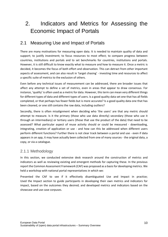# <span id="page-9-0"></span>2. Indicators and Metrics for Assessing the Economic Impact of Portals

# <span id="page-9-1"></span>2.1 Measuring Use and Impact of Portals

There are many motivations for measuring open data. It is needed to maintain quality of data and support; to justify investment; to focus resources to most effect; to compare progress between countries, institutions and portals and to set benchmarks for countries, institutions and portals. However, it is still difficult to know exactly what to measure and how to measure it. Once a metric is decided, it becomes the focus of both effort and observation. This can detract from other important aspects of assessment, and can also result in 'target chasing' - investing time and resources to affect a specific suite of metrics to the exclusion of others.

Even before any technical issues of measurement can be addressed, there are broader issues that affect any attempt to define a set of metrics, even in areas that appear to draw consensus. For instance, 'quality' is often used as a metric for data. However, this term can mean very different things for different types of data and different types of users. Is a good quality data set one that has all fields completed, or that perhaps has fewer fields but is more accurate? Is a good quality data one that has been cleaned, or one still contains the raw data, including outliers?

Secondly, there is often misalignment when deciding who 'the users' are that any metric should attempt to measure. Is it the primary (those who use data directly) secondary (those who use it through an intermediary) or tertiary users (those that use the product of the data) that need to be assessed? What particular aspect of reuse activity should or could be measured - downloading, integrating, creation of application or use - and how can this be addressed when different users perform different functions? Further there is not clear track between a portal and use - even if data appears in an app, it may have actually been collected from one of many sources - the original data, a copy, or via a catalogue.

### <span id="page-9-2"></span>2.1.1 Methodology

In this section, we conducted extensive desk research around the construction of metrics and indicators as well as reviewing existing and emergent methods for capturing these. In the previous report the Common Assessment Framework (CAF) was proposed as a basis for developing metrics. We held a workshop with national portal representatives in which we:

Presented the CAF to see if it effectively disambiguated Use and Impact in practice; Used the Impact section to guide participants in developing their own metrics and indicators for impact, based on the outcomes they desired; and developed metrics and indicators based on the showcase and use case corpuses.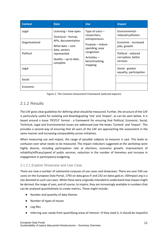| <b>Context</b> | <b>Data</b>                                                         | <b>Use</b>                                          | <b>Impact</b>                                         |
|----------------|---------------------------------------------------------------------|-----------------------------------------------------|-------------------------------------------------------|
| Legal          | Licensing – how open<br>Technical – format,                         | Type of users $-$<br>researchers,                   | Environmental -<br>reduced pollution                  |
| Organisational | APIs, documentation<br>What data $-$ core                           | entrepreneurs<br>Purpose - reduce<br>spending, ease | Economic - increased<br>jobs, growth                  |
| Political      | data, sectors<br>represented<br>Quality $-$ up to date,<br>complete | congestion<br>Activities –<br>benchmarking,         | Political - reduced<br>corruption, better<br>services |
| Legal          |                                                                     | mapping                                             | Social - greater<br>equality, participation           |
| Social         |                                                                     |                                                     |                                                       |
| Economic       |                                                                     |                                                     |                                                       |

*Figure 1: The Common Assessment Framework (selected aspects)*

# <span id="page-10-0"></span>2.1.2 Results

The CAF gives clear guidelines for defining what should be measured. Further, the structure of the CAF is particularly useful for isolating and disambiguating 'Use' and 'Impact', as can be seen below. It is based around a loose 'PESTLE' format - a framework for ensuring that Political, Economic, Social, Technical, Legal and Environmental issues are addressed (see the boxes 'Context' and 'Impact'. This provides a second way of ensuring that all users of the CAF are approaching the assessment in the same manner and increasing comparability across initiatives.

When measuring use and impact, the range of possible subjects to measure is vast. This leads to confusion over what needs to be measured. The impact indicators suggested at the workshop were highly diverse, including participation rate at elections, economic growth, improvement of reliability/efficacy/speed of public services, reduction in the number of homeless and increase in engagement in participatory budgeting.

### 2.1.2.1 Explore Showcase and Use Case

There are now a number of substantial corpuses of use cases and showcases. There are over 550 use cases on the European Data Portal, 1793 on data.gouv.fr and 232 on datos.gob.es. ODImpact.org is a site devoted to such use cases. While these were originally intended to understand how impact might be derived, the range of uses, and of course, to inspire, they are increasingly available in numbers that can be analysed quantitatively to create metrics. These might include:

- Number and quantity of data themes
- Number of types of reuses
- Log files
- Inferring user needs from quantifying areas of interest –If they need it, it should be impactful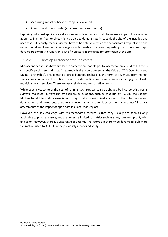- Measuring impact of hacks from apps developed
- Speed of addition to portal (as a proxy for rates of reuse)

Exploring individual applications at a more micro level can also help to measure impact. For example, a Journey Planner App for bikes might be able to demonstrate impact via the size of the installed and user bases. Obviously, these indicators have to be obtained, which can be facilitated by publishers and reusers working together. One suggestion to enable this was requesting that showcased app developers commit to report on a set of indicators in exchange for promotion of the app.

#### 2.1.2.2 Develop Microeconomic Indicators

Microeconomic studies have similar econometric methodologies to macroeconomic studies but focus on specific publishers and data. An example is the report 'Assessing the Value of TfL's Open Data and Digital Partnership'. This identified direct benefits, realised in the form of revenues from market transactions and indirect benefits of positive externalities, for example, increased engagement with municipality and services. These are very reliable and comparative metrics.

While expensive, some of the cost of running such surveys can be defrayed by incorporating portal surveys into larger surveys run by business associations, such as that run by ASEDIE, the Spanish Multisectorial Information Association. They conduct longitudinal analyses of the information and data market, and the outputs of trade and governmental economic assessments can be useful to local assessments of the impact of open data in a local marketplace.

However, the key challenge with microeconomic metrics is that they usually are seen as only applicable to private reusers, and are generally limited to metrics such as sales, turnover, profit, jobs, and so on. However, there is a vast range of potential indicators out there to be developed. Below are the metrics used by ASEDIE in the previously mentioned study.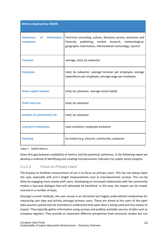| <b>Metrics deployed by ASEDIE</b>                          |                                                                                                                                                                                              |  |
|------------------------------------------------------------|----------------------------------------------------------------------------------------------------------------------------------------------------------------------------------------------|--|
| infomediary<br><b>Subsectors</b><br><b>of</b><br>companies | Technical consulting, culture, directory service, economic and<br>financial,<br>publishing,<br>market research, meteorological,<br>geographic information, infomediation technology, tourism |  |
| <b>Turnover</b>                                            | average, total, by subsector                                                                                                                                                                 |  |
| <b>Employee</b>                                            | total, by subsector, average turnover per employee, average<br>expenditure per employee, average wage per employee                                                                           |  |
| <b>Share capital analysis</b>                              | total, by subsector, average social capital                                                                                                                                                  |  |
| <b>Profit and Loss</b>                                     | total, by subsector                                                                                                                                                                          |  |
| <b>Analysis of commercial risk</b>                         | total, by subsector                                                                                                                                                                          |  |
| Long term companies                                        | sales evolution, employee evolution                                                                                                                                                          |  |
| <b>Delisting</b>                                           | by motive (e.g. closure), community, subsector                                                                                                                                               |  |

#### *Table 1 ASIDIE Metrics*

Given this gap between availability of metrics and the potential usefulness, in the following report we develop a method of identifying and creating microeconomic indicators for public sector projects.

#### 2.1.2.3 Focus on Primary Users

The keyway to facilitate measurement of use is to focus on primary users. This has not always been the case, especially with arm's length measurements such as macroeconomic surveys. This can be done by engaging more closely with users. Developing an increased relationship with the community implies a two-way dialogue that will ultimately be beneficial. In this way, the impact can be crowdsourced in a number of ways.

Amongst current methods, the user survey is an attractive but hugely underutilised compromise for measuring user type and activity amongst primary users. These are aimed at the users of the open data around a portal and are intended to understand how open data is being used and thus assess its impact. They typically gather information using surveys and publicly available sources of data such as company registers. They provide an important different perspective from economic studies but can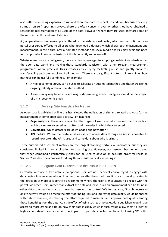also suffer from being expensive to run and therefore hard to repeat. In addition, because they rely so much on self-reporting surveys, there are often concerns over whether they have obtained a reasonable representation of all users of the data. However, where they are used, they are some of the most impactful and useful studies.

A (comparatively) simple example is offered by the Irish national portal, which runs a continuous onportal user survey offered to all users who download a dataset, which allows both engagement and measurement. In the future, new automated methods and social media analysis may avoid the need for compromise in some contexts, but this is currently some way off.

Whatever methods are being used, there are clear advantages to adopting consistent standards across the open data world and making those standards consistent with other relevant measurement programmes where practical. This increases efficiency by facilitating reuse and greatly enhances transferability and comparability of all methods. There is also significant potential in examining how methods can be usefully combined. For example:

- A microeconomic survey can be used to calibrate an automated method and thus increase the ongoing validity of the automated method.
- A user survey may be an efficient way of determining which user types should be the subject of a microeconomic study

#### 2.1.2.4 Develop Site Analytics for Reuse

As open data is published online this has allowed the utilisation of site and related analytics for the measurement of some open data activity. For instance:

- **Page analytics.** These are similar to other types of web site, which record metrics such as which pages are accessed most often and the order in which they accessed.
- **Downloads**. Which datasets are downloaded and how often?
- **API metrics.** Where the portal enables users to access data through an API it is possible to record how often the API is used and some data about who is using it.

These automated assessment metrics are the longest standing portal level indicators, but they are considered limited in their application for assessing use. However, our research has demonstrated that, when combined algorithmically, they can be used to develop an accurate proxy for reuse. In Section 2 we describe a process for doing this and automatically assessing it.

#### 2.1.2.5 Integrate Data Reusers and the Public into Portals

Currently, with one or two notable exceptions, users are not specifically encouraged to engage with data portals in a meaningful way. In order to more effectively track use, it is key to develop portals in the direction of more collaborative environments where the user is encouraged to engage with the portal (via other users) rather than extract the data and leave. Such an environment can be found in other data communities, such as those that use version control (VC), for instance, GitHub. Increased onsite activity would also mean the effort of finding links and improving data quality would be shared with data consumers, distributing the effort required to maintain and improve data quality among those benefiting from the data. As a side effect of using such technologies, data publishers would have access to more granular data on how their data is used, which in turn would allow them to identify high value datasets and ascertain the impact of open data. A further benefit of using VC is this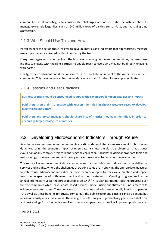community has already begun to consider the challenges around IoT data, for instance, how to manage extremely large files, such as 240 million rows of parking sensor data, and managing data aggregation.

# <span id="page-14-0"></span>2.1.3 Who Should Use This and How

Portal owners can action these insights to develop metrics and indicators that appropriately measure use and/or impact as desired, without conflating the two.

Ecosystem organisers, whether from the business or local government communities, can use these insights to engage with the right partners to enable reach to users who may not be directly engaging with portals.

Finally, these conclusions and directions for research should be of interest to the wider measurement community. This includes researchers, open data activists and funders, for example Luminate.

## <span id="page-14-1"></span>2.1.4 Lessons and Best Practices

**Business groups should be encouraged to survey their members for open data use and impact.** 

**Publishers should aim to engage with reusers identified in show cases/use cases to develop quantifiable indicators** 

**Publishers and portal managers should share lists of metrics they have identified, in order to encourage larger catalogues of metrics**

# <span id="page-14-2"></span>2.2 Developing Microeconomic Indicators Through Reuse

As noted above, microeconomic assessments are still underexploited as measurement tools for open data. Measuring the economic impact of open data falls into the classic problem set that plagues evaluation of any complex project; identifying the chain of causal links; devising appropriate tools and methodology for measurement, and having sufficient resources to carry out the evaluation.

The reuse of open government data creates value for the public and private sector in delivering services and insights, where the challenges of tracking value are in applying the appropriate measures to data re-use. Microeconomic indicators have been developed to track value creation and impact from the perspective of both government and of the private sector. Ongoing programmes like the annual Infomediary Sector Report produced by ASEDIE<sup>7</sup> (in its sixth iteration), track the progress over time of companies which have a data-based business model, using quantitative business metrics to evidence economic value. These indicators, such as sales and jobs, are generally familiar to people. Yet as well as these benefits for private companies, the public sector and citizens can also benefit, but in less obviously measurable ways. These might be efficiency and productivity gains; potential time and cost savings from innovative services running on open data, as well as improved public services

<sup>7</sup> ASIDIE, 2018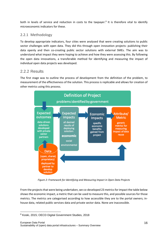both in levels of service and reduction in costs to the taxpayer.<sup>8</sup> It is therefore vital to identify microeconomic indicators for these.

### <span id="page-15-0"></span>2.2.1 Methodology

To develop appropriate indicators, four cities were analysed that were creating solutions to public sector challenges with open data. They did this through open innovation projects: publishing their data openly and then co-creating public sector solutions with external SMEs. The aim was to understand what impact they were hoping to achieve and how they were assessing this. By following the open data innovations, a transferable method for identifying and measuring the impact of individual open data projects was developed.

## <span id="page-15-1"></span>2.2.2 Results

The first stage was to outline the process of development from the definition of the problem, to measurement of the effectiveness of the solution. This process is replicable and allows for creation of other metrics using this process.



*Figure 2: Framework for Identifying and Measuring Impact in Open Data Projects*

From the projects that were being undertaken, we co-developed 23 metrics for impact the table below shows the economic impact, a metric that can be used to measure this, and possible sources for those metrics. The metrics are categorised according to how accessible they are to the portal owners; inhouse data, related public services data and private sector data. None are inaccessible.

<sup>8</sup> Koski, 2015; OECD Digital Government Studies, 2018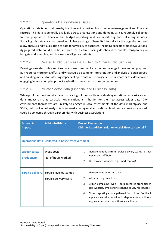### 2.2.2.1 Operations Data (In-house Data)

Operations data is held in-house by the cities as it is derived from their own management and financial records. This data is generally available across organisations and domains as it is routinely collected for the purposes of financial and budget reporting, and for monitoring and delivering services. Surfacing this data via a dashboard would have a range of benefits internally for the organisation, and allow analysis and visualisation of data for a variety of purposes, including specific project evaluations. Aggregated data could also be surfaced for a citizen-facing dashboard to enable transparency in budgets and spending, and business intelligence insights.

### 2.2.2.2 Related Public Services Data (Held by Other Public Services)

Drawing on related public services data presents more of a resource challenge for evaluation purposes as it requires more time, effort and what could be complex interpretation and analysis of data sources, and building models for inferring impacts of open data reuse projects. This is a barrier to a data owner engaging in more complex project evaluation due to restrictions on resources.

#### 2.2.2.3 Private Sector Data (Financial and Business Data)

While public authorities which are co-creating solutions with individual organisations can easily access data impact on that particular organisation, it is harder for them to access wider data. City governments themselves are unlikely to engage in local assessments of the data marketplace and SMEs, but this kind of analysis is of interest at a regional and national level, and as previously noted, could be collected through partnerships with business associations.

| <b>Economic</b><br><b>Impact</b> | <b>Attribute/Metric</b>                                   | <b>Project Evaluation</b><br>Did the data-driven solution work? How can we tell?                                                                                                                                                                                                                                                                                           |
|----------------------------------|-----------------------------------------------------------|----------------------------------------------------------------------------------------------------------------------------------------------------------------------------------------------------------------------------------------------------------------------------------------------------------------------------------------------------------------------------|
|                                  | <b>Operations Data - collected in-house by government</b> |                                                                                                                                                                                                                                                                                                                                                                            |
| Labour costs/<br>productivity    | Wage costs<br>No. of hours worked                         | Management data from service delivery teams to track<br>1.<br>impact on staff hours<br>Workflow efficiencies (e.g. smart routing)<br>2.                                                                                                                                                                                                                                    |
| <b>Service delivery</b>          | Service level outcomes<br>Service delivery costs          | Management reporting data<br>1.<br>2.<br>$I$ oT data – e.g. smart bins<br>3.<br>Citizen complaint levels - data gathered from citizen<br>app, website, email and telephone to City re: services<br>Citizen reporting - data gathered from citizen feedback<br>4.<br>app, civic website, email and telephone re: conditions<br>(e.g. weather, road conditions, cleanliness) |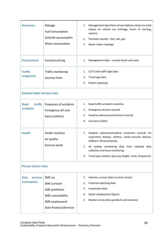| <b>Resources</b>                                     | Mileage<br><b>Fuel Consumption</b><br>Grit/salt consumption<br>Water consumption                             | 1.<br>2.<br>3.             | Management data from service delivery teams to track<br>impact on vehicle use (mileage, hours of running,<br>repairs)<br>Purchase records - fuel, salt, grit<br>Water meter readings                                                 |
|------------------------------------------------------|--------------------------------------------------------------------------------------------------------------|----------------------------|--------------------------------------------------------------------------------------------------------------------------------------------------------------------------------------------------------------------------------------|
| <b>Procurement</b>                                   | Contract pricing                                                                                             | 1.                         | Management data - service levels and costs                                                                                                                                                                                           |
| <b>Traffic</b><br>congestion                         | <b>Traffic monitoring</b><br>Journey times                                                                   | 1.<br>2.<br>3.             | CCTV and traffic light data<br>Travel app data<br>Citizen reporting                                                                                                                                                                  |
| <b>Related Public Services Data</b>                  |                                                                                                              |                            |                                                                                                                                                                                                                                      |
| traffic<br><b>Road</b><br>accidents<br><b>Health</b> | Frequency of accidents<br><b>Emergency call outs</b><br>Injury statistics<br><b>Health statistics</b>        | 1.<br>2.<br>3.<br>4.<br>1. | Road traffic accidents statistics<br>Emergency services records<br>Hospital admissions/treatment records<br>Insurance claims<br>Hospital admission/medical treatment records for                                                     |
|                                                      | Air quality<br><b>Exercise levels</b>                                                                        | 3.                         | respiratory disease, asthma, cardio-vascular disease,<br>children's fitness/obesity<br>Air quality monitoring data from national data<br>collection and local monitoring<br>Travel app statistics (journey length, route, frequency) |
| <b>Private Sector Data</b>                           |                                                                                                              |                            |                                                                                                                                                                                                                                      |
| <b>services</b><br><b>Data</b><br>marketplace        | SME no.<br>SME turnover<br>SME profit/loss<br>SME sustainability<br>SME employment<br>Data Products/Services | 1.<br>2.<br>3.<br>4.<br>5. | Industry surveys (data services sector)<br>Financial reporting data<br>Investment data<br>Sector employment figures<br>Market survey data (products and services)                                                                    |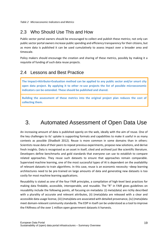*Table 2 Microeconomic Indicators and Metrics*

# <span id="page-18-0"></span>2.3 Who Should Use This and How

Public sector portal owners should be encouraged to collect and publish these metrics; not only can public sector portal owners increase public spending and efficiency transparency for their citizens, but as more data is published it can be used cumulatively to assess impact over a broader area and timescale.

Policy makers should encourage the creation and sharing of these metrics, possibly by making it a requisite of funding of such data reuse projects.

# <span id="page-18-1"></span>2.4 Lessons and Best Practice

**The Impact>Attribute>Evaluation method can be applied to any public sector and/or smart city open data project. By applying it to other re-use projects the list of possible microeconomic indicators can be extended. These should be published and shared.**

**Building the assessment of these metrics into the original project plan reduces the cost of collecting them.** 

# <span id="page-18-2"></span>3. Automated Assessment of Open Data Use

An increasing amount of data is published openly on the web, ideally with the aim of reuse. One of the key challenges to its' uptake is supporting formats and capabilities to make it useful in as many contexts as possible (Shadbolt 2012). Reuse is more common in some domains than in others: Scientists reuse data of their peers to repeat previous experiments, propose new solutions, and derive fresh insights. Data is recognised as an asset in itself, cited and archived just like scientific literature. Developers define benchmarks and gold standards that everyone can use to establish to compare related approaches. They reuse such datasets to ensure that approaches remain comparable. Supervised machine learning, one of the most successful types of AI is dependent on the availability of relevant datasets to train algorithms. In this case, reuse is an economic necessity –deep learning architectures need to be pre-trained on large amounts of data and generating new datasets is too costly for most machine learning applications.

Reusability is stated as one of the four FAIR principles, a compilation of high-level best practices for making data findable, accessible, interoperable, and reusable. The "R" in FAIR gives guidelines on reusability include the following points, all focusing on metadata: (i) meta(data) are richly described with a plurality of accurate and relevant attributes, (ii) (meta)data are released with a clear and accessible data usage license, (iii) (meta)data are associated with detailed provenance, (iv) (meta)data meet domain-relevant community standards. The EDP in itself can be understood as a tool to improve the FAIRness of the over 1 million open government datasets it harvests.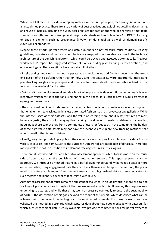While the FAIR metrics provides exemplary metrics for the FAIR principles, measuring FAIRness is not an established practice. There are also a variety of best practices and guidelines detailing data sharing and reuse principles, including the W3C best practices for data on the web or SharePSI or metadata standards for different purposes: general purpose standards such as Dublin Core2 or DCAT3, focusing on specific elements such as provenance (PROV4) or data quality5 as well as domain specific extensions or standards.

Despite these efforts, portal owners and data publishers do not measure reuse routinely. Existing guidelines, indicators and metrics cannot be trivially mapped to observable features in the technical architecture of the publishing platform, which could be tracked and assessed automatically. Previous work [citeEDP1report] has suggested several solutions, including pixel tracking, dataset citations, and enforcing log-ins. These solutions have important limitations:

· Pixel tracking, and similar methods, operate at a granular level, and findings depend on the frontend design of the platform rather than on how useful the dataset is. More importantly, translating pixel-tracking insights into principles and practices to make datasets more reusable is hard, as the former is too low-level for the latter.

· Dataset citations, while an excellent idea, is not widespread outside scientific communities. While an incentives system for data citations is emerging in this space, it is unclear how it would transfer to open government data.

· The most used public sector datasets (such as urban transportation) often have excellent ecosystems that enable them to track usage in a less automated fashion (such as surveys, or app galleries). While the intense usage of their datasets, and the value of learning more about what features are most beneficial justify the cost of managing this tracking, this does not transfer to datasets that are less popular, as these cannot draw from a community of users for feedback. In the same time, the holders of these high-value data assets may not have the incentives to explore new tracking methods that would benefit other types of datasets.

· Finally, very few portals imply publish their own data – most provide a platform for data from a variety of sources, and some, such as the European Data Portal, are catalogues of datasets. Therefore, most portals are not in a position to implement tracking features such as log-ins.

Therefore, it is vital to address an alternative assessment approach, which focuses more on the reuse side of open data than the publishing, with automation support. This report presents such an approach. We introduce a method that helps a portal owner understand what makes a dataset more or less reusable, using engagement data they can track themselves. To apply the method, the portal needs to capture a minimum of engagement metrics, map higher-level dataset reuse indicators to such metrics and identify a subset that co-relate with reuse.

Automated assessment of reuse remains a substantial challenge. In an ideal world, a more end-to-end tracking of portal activities throughout the process would enable this. However, this requires new underlying structures, and while these may well be necessary eventually to ensure the sustainability of portals, the description of this goes beyond the remit of this report, which describes what can be achieved with the current technology, or with minimal adjustments. For these reasons, we have validated the method in a scenario which captures data about how people engage with datasets, for which such engagement data is easily available. We provide recommendations for portal owners to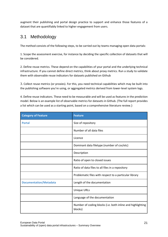augment their publishing and portal design practice to support and enhance those features of a dataset that are quantifiably linked to higher engagement from users.

# <span id="page-20-0"></span>3.1 Methodology

The method consists of the following steps, to be carried out by teams managing open data portals:

1. Scope the assessment exercise, for instance by deciding the specific collection of datasets that will be considered.

2. Define reuse metrics. These depend on the capabilities of your portal and the underlying technical infrastructure. If you cannot define direct metrics, think about proxy metrics. Run a study to validate them with observable reuse indicators for datasets published on Github

3. Collect reuse metrics (or proxies). For this, you need technical capabilities which may be built into the publishing software you're using, or aggregated metrics derived from lower-level system logs.

4. Define reuse indicators. These need to be measurable and will be used as features in the prediction model. Below is an example list of observable metrics for datasets in Github. (The full report provides a list which can be used as a starting point, based on a comprehensive literature review.)

| <b>Category of Feature</b>    | <b>Feature</b>                                                        |
|-------------------------------|-----------------------------------------------------------------------|
| <b>Portal</b>                 | Size of repository                                                    |
|                               | Number of all data files                                              |
|                               | Licence                                                               |
|                               | Dominant data filetype (number of csv/etc)                            |
|                               | Description                                                           |
|                               | Ratio of open to closed issues                                        |
|                               | Ratio of data files to all files in a repository                      |
|                               | Problematic files with respect to a particular library                |
| <b>Documentation/Metadata</b> | Length of the documentation                                           |
|                               | <b>Unique URLs</b>                                                    |
|                               | Language of the documentation                                         |
|                               | Number of coding blocks (i.e. both inline and highlighting<br>blocks) |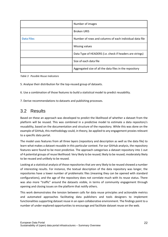|                   | Number of images                                         |
|-------------------|----------------------------------------------------------|
|                   | <b>Broken URIS</b>                                       |
| <b>Data Files</b> | Number of rows and columns of each individual data file  |
|                   | Missing values                                           |
|                   | Data Type of HEADERS (i.e. check if headers are strings) |
|                   | Size of each data file                                   |
|                   | Aggregated size of all the data files in the repository  |

*Table 3 Possible Reuse Indicators*

5. Analyse their distribution for the top-reused group of datasets.

6. Use a combination of those features to build a statistical model to predict reusability.

7. Derive recommendations to datasets and publishing processes.

# <span id="page-21-0"></span>3.2 Results

Based on these an approach was developed to predict the likelihood of whether a dataset from the platform will be reused. This was combined in a predictive model to estimate a data repository's reusability, based on the documentation and structure of the repository. While this was done on the example of GitHub, this methodology could, in theory, be applied to any engagement proxies relevant to a specific data portal.

The model uses features from all three layers (repository and description as well as the data file) to learn what makes a dataset reusable in this particular context. For our GitHub analysis, the repository features were found to be most predictive. The approach categorises a dataset repository into 1 out of 4 potential groups of reuse likelihood: Very likely to be reused; likely to be reused; moderately likely to be reused and unlikely to be reused.

Looking at a statistical analysis of those repositories that are very likely to be reused showed a number of interesting results. For instance, the textual description of the data repository was longer, the repositories have a lower number of problematic files (meaning they can be opened with standard configurations), and the age of the repository does not correlate much with its reuse status. There was also more "traffic" around the datasets visible, in terms of community engagement through opening and closing issues on the platform that notify others.

This work demonstrates the tension between calls for data reuse principles and actionable metrics and automated approaches facilitating data publishers and tools designers to implement functionalities supporting dataset reuse in an open collaborative environment. The findings point to a number of under-explored opportunities to encourage and facilitate dataset reuse on the web.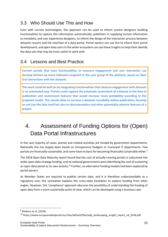# <span id="page-22-0"></span>3.3 Who Should Use This and How

Even with current technologies, this approach can be used to inform system designers building functionalities to capture this information automatically; publishers in supplying certain information as metadata, and user experience designers, to inform the design of the interaction process between datasets reusers and the interface of a data portal. Portal owners can use this to inform their portal development, and open data users in the wider ecosystem can use these insights to help them identify the data sets that may be most useful to work with.

# <span id="page-22-1"></span>3.4 Lessons and Best Practice

**Current portals that have functionalities to measure engagement and user interaction can develop bottom-up reuse indicators targeted to the user group of the platform, based on their real interactions with the datasets.** 

**This work could be built on by integrating functionalities that measure engagement with datasets in an automated way. Portals could support the automatic assessment of a dataset at the time of publication and recommend features that would increase reuse probability according to the proposed model. This would allow to increase a datasets reusability before publication, focusing on not just the data itself but also on documentation and other potentially relevant features of a project.** 

# <span id="page-22-2"></span>4. Assessment of Funding Options for (Open) Data Portal Infrastructures

In the vast majority of cases, portals and related activities are funded by government departments. Nationally this has largely been based on transparency budgets or municipal IT departments. Few portals are financially sustainable, and some have no basis for becoming financially sustainable either.<sup>9</sup>

The 2018 Open Data Maturity report found that the cost of actually running portals is subsumed into wider open data strategy funding, and no national governments were identifying the cost of sustaining an open data portal as its own activity.<sup>10</sup> Further, no alternative funding models had been explored by portal owners.

As Member States are required to publish certain data, and it is therefore understandable as a regulatory cost, this somewhat explains this cross-state hesitation to explore funding from other angles. However, this 'compliance' approach obscures the possibility of understanding the funding of open data from a more sustainable point of view, which can be developed using a business case.

<sup>&</sup>lt;sup>9</sup> Barbero et al. (2018)

<sup>10</sup> https://www.europeandataportal.eu/sites/default/files/edp\_landscaping\_insight\_report\_n4\_2018.pdf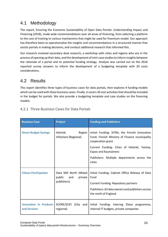# <span id="page-23-0"></span>4.1 Methodology

The report, Ensuring the Economic Sustainability of Open Data Portals: Understanding Impact and Financing (2018), made wide recommendations over all areas of financing, from selecting a platform to the cost of training to various mechanisms that might be used for freemium model. Our approach has therefore been to operationalise the insights and recommendations in a structured manner that assists portals in making decisions, and conduct additional research that informed this.

Our research involved secondary desk research, a workshop with cities and regions who are in the process of opening up their data, and the development of mini-case studies to inform insights between the rationale of a portal and its potential funding strategy. Analysis was carried out on the 2018 reported survey answers to inform the development of a budgeting template with 20 costs considerations.

# <span id="page-23-1"></span>4.2 Results

This report identifies three types of business cases for data portals, then explores 4 funding models which can be used with these business cases. Finally, it covers 20 cost activities that should be included in the budget for portals. We also provide a budgeting template and case studies on the financing models.

| <b>Business Case</b>                          | <b>Project</b>                                                    | <b>Funding and Publishers</b>                                                                                                                                                                                                                           |
|-----------------------------------------------|-------------------------------------------------------------------|---------------------------------------------------------------------------------------------------------------------------------------------------------------------------------------------------------------------------------------------------------|
| <b>Direct Budget Savings</b>                  | Helsinki<br>Region<br>Infoshare (Regional)                        | Initial Funding: SITRA, the Finnish Innovation<br>Fund; Finnish Ministry of Finance municipality<br>cooperation grant<br>Current Funding: Cities of Helsinki, Vantaa,<br>Espoo and Kauniainenc<br>Publishers: Multiple departments across the<br>cities |
| <b>Citizen Participation</b>                  | Data Mill North (Mixed<br>public<br>and<br>private<br>publishers) | Initial Funding; Cabinet Office Release of Data<br>Fund<br><b>Current Funding: Repository partners</b><br>Publishers: 63 data owners and publishers across<br>the north of England                                                                      |
| <b>Innovation in Products</b><br>and Services | SCORE/SCIFI (City and<br>regional)                                | Initial Funding: Interreg 2Seas programme,<br>internal IT budgets, private companies                                                                                                                                                                    |

### <span id="page-23-2"></span>4.2.1 Three Business Cases for Data Portals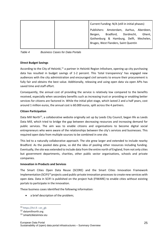|  | Current Funding: N/A (still in initial phases) |  |  |  |  |  |
|--|------------------------------------------------|--|--|--|--|--|
|  | Publishers: Amsterdam, Aarhus, Aberdeen,       |  |  |  |  |  |
|  | Bergen, Bradford, Dordrecht, Ghent,            |  |  |  |  |  |
|  | Gothenburg & Hamburg, Delft, Mechelen,         |  |  |  |  |  |
|  | Bruges, West Flanders, Saint Quentin           |  |  |  |  |  |
|  |                                                |  |  |  |  |  |

*Table 4 Business Cases for Data Portals*

#### **Direct Budget Savings**

According to the City of Helsinki,<sup>11</sup> a partner in Helsinki Region Infoshare, opening up city purchasing data has resulted in budget savings of 1-2 percent. This 'total transparency' has engaged new audiences with the city administration and encouraged civil servants to ensure their procurement is fully fair and obtains the best value. Additionally, releasing and using open data via open APIs has saved time and staff effort.

Consequently, the annual cost of providing the service is relatively low compared to the benefits received, especially when secondary benefits such as increasing trust or providing or enabling better services for citizens are factored in. While the initial pilot stage, which lasted 2 and a half years, cost around 1 million euros, the annual cost is 60.000 euros, split across the 4 partners.

#### **Citizen Participation**

Data Mill North<sup>12</sup>, a collaborative website originally set up by Leeds City Council, began life as Leeds Data Mill, which tried to bridge the gap between decreasing resources and increasing demand for public services. The aim was to enable citizens and organisations to become digital social entrepreneurs who were aware of the relationships between the city's services and businesses. This required open data from multiple sources to be combined in one site.

This led to a naturally collaborative approach. The site grew larger and extended to include nearby Bradford. As the pooled data grew, so did the idea of pooling other resources including funding. Eventually, the site was extended to include data from the entire north of England, from not only cities but government departments, charities, other public sector organisations, schools and private companies.

#### **Innovation in Products and Services**

The Smart Cities Open Data Reuse (SCORE) and the Smart Cities Innovation Framework Implementation (SCIFI)<sup>13</sup> projects used public-private innovation processes to create new services with open data. Data in SCIFI is published on the project hub (FIWARE) to enable cities without existing portals to participate in the innovation.

These business cases identified the following information:

• a brief description of the problem;

<sup>11</sup> [https://hri.fi › en\\_gb](https://hri.fi/en_gb/)

<sup>12</sup> datamillnorth.org

<sup>13</sup> smartcitiesinnov.eu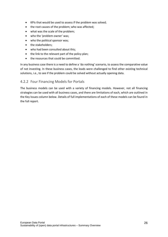- KPIs that would be used to assess if the problem was solved;
- the root causes of the problem; who was affected;
- what was the scale of the problem;
- who the 'problem owner' was;
- who the political sponsor was;
- the stakeholders:
- who had been consulted about this;
- the link to the relevant part of the policy plan;
- the resources that could be committed.

In any business case there is a need to define a 'do nothing' scenario, to assess the comparative value of not investing. In these business cases, the leads were challenged to find other existing technical solutions, i.e., to see if the problem could be solved without actually opening data.

#### <span id="page-25-0"></span>4.2.2 Four Financing Models for Portals

The business models can be used with a variety of financing models. However, not all financing strategies can be used with all business cases, and there are limitations of each, which are outlined in the Key Issues column below. Details of full implementations of each of these models can be found in the full report.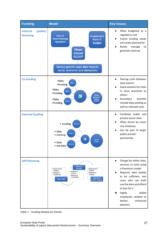

*Table 5 Funding Models for Portals*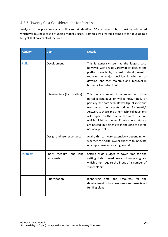### <span id="page-27-0"></span>4.2.3 Twenty Cost Considerations for Portals

Analysis of the previous sustainability report identified 20 cost areas which must be addressed, whichever business case or funding model is used. From this we created a template for developing a budget that covers all of the areas.

| <b>Activity</b> | <b>Cost</b>                            | <b>Details</b>                                                                                                                                                                                                                                                                                                                                                                                                                |
|-----------------|----------------------------------------|-------------------------------------------------------------------------------------------------------------------------------------------------------------------------------------------------------------------------------------------------------------------------------------------------------------------------------------------------------------------------------------------------------------------------------|
| <b>Build</b>    | Development                            | This is generally seen as the largest cost,<br>however, with a wide variety of catalogues and<br>platforms available, the cost of development is<br>reducing. A major decision is whether to<br>develop (and then maintain and improve) in<br>house or to contract out                                                                                                                                                        |
|                 | Infrastructure (incl. hosting)         | This has a number of dependencies: is the<br>portal a catalogue or will it host, totally or<br>partially, the data sets? How will publishers and<br>users access the datasets and how frequently?<br>Answers to these and other technical questions<br>will impact on the cost of the infrastructure,<br>which might be minimal if only a few datasets<br>are hosted, but extensive in the case of a large<br>national portal |
|                 | Design and user experience             | Again, this can vary extensively depending on<br>whether the portal owner chooses to innovate<br>or simply reuse an existing format                                                                                                                                                                                                                                                                                           |
| <b>Strategy</b> | Short, medium- and long-<br>term goals | Setting aside budget to cover time for the<br>setting of short, medium- and long-term goals,<br>which often require the input of a number of<br>stakeholders                                                                                                                                                                                                                                                                  |
|                 | Prioritisation                         | Identifying time and resources for the<br>development of business cases and associated<br>funding plans                                                                                                                                                                                                                                                                                                                       |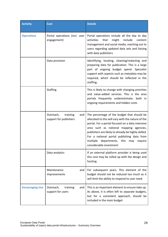| <b>Activity</b>        | <b>Cost</b>                                            | <b>Details</b>                                                                                                                                                                                                                                                                                                                                                                   |
|------------------------|--------------------------------------------------------|----------------------------------------------------------------------------------------------------------------------------------------------------------------------------------------------------------------------------------------------------------------------------------------------------------------------------------------------------------------------------------|
| <b>Operations</b>      | Portal operations (incl. user<br>engagement)           | Portal operations include all the day to day<br>might<br>include<br>activities<br>that<br>content<br>management and social media, reaching out to<br>users regarding updated data sets and liaising<br>with data publishers                                                                                                                                                      |
|                        | Data provision                                         | Identifying, locating, cleaning/redacting and<br>preparing data for publication. This is a large<br>part of ongoing budget spend. Specialist<br>support with aspects such as metadata may be<br>required, which should be reflected in the<br>staffing.                                                                                                                          |
|                        | <b>Staffing</b>                                        | This is likely to change with changing priorities<br>and value-added services. This is the area<br>portals frequently underestimate, both in<br>ongoing requirements and hidden costs                                                                                                                                                                                            |
|                        | Outreach,<br>training<br>and<br>support for publishers | The percentage of the budget that should be<br>allocated to this will vary with the nature of the<br>portal. For a portal focused on a data intensive<br>area such as national mapping agencies,<br>publishers are likely to already be highly skilled.<br>For a national portal publishing data from<br>multiple departments, this<br>may<br>require<br>considerable investment |
|                        | Data analytics                                         | If an external platform provider is being used<br>this cost may be rolled up with the design and<br>hosting                                                                                                                                                                                                                                                                      |
|                        | Maintenance<br>and<br>improvements                     | For subsequent years. This element of the<br>budget should not be reduced too much as it<br>will limit the ability to respond to user need                                                                                                                                                                                                                                       |
| <b>Encouraging Use</b> | Outreach,<br>training<br>and<br>support for users      | This is an important element to ensure take up.<br>As above, it is often left to separate budgets,<br>but for a consistent approach, should be<br>included in the main budget                                                                                                                                                                                                    |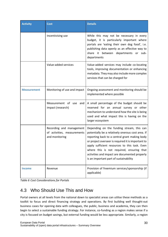| <b>Activity</b>    | Cost                                                                      | <b>Details</b>                                                                                                                                                                                                                                                                                                                                                                                 |
|--------------------|---------------------------------------------------------------------------|------------------------------------------------------------------------------------------------------------------------------------------------------------------------------------------------------------------------------------------------------------------------------------------------------------------------------------------------------------------------------------------------|
|                    | Incentivising use                                                         | While this may not be necessary in every<br>budget, it is particularly important where<br>portals are 'eating their own dog food', i.e.<br>publishing data openly as an effective way to<br>share it<br>between departments or sub-<br>departments                                                                                                                                             |
|                    | Value-added services                                                      | Value-added services may include co-locating<br>tools, improving documentation or enhancing<br>metadata. They may also include more complex<br>services that can be charged for                                                                                                                                                                                                                |
| <b>Measurement</b> | Monitoring of use and impact                                              | Ongoing assessment and monitoring should be<br>implemented where possible                                                                                                                                                                                                                                                                                                                      |
|                    | Measurement of use<br>and<br>impact (research)                            | A small percentage of the budget should be<br>reserved for an annual survey or other<br>mechanism to understand how the site is being<br>used and what impact this is having on the<br>larger ecosystem                                                                                                                                                                                        |
|                    | Recording and management<br>of activities, measurements<br>and monitoring | Depending on the funding stream, this can<br>potentially be a relatively onerous cost area. If<br>reporting back to a central grant making body<br>or project overseer is required it is important to<br>apply sufficient resources to this task. Even<br>where this is not required, ensuring that<br>activities and impact are documented properly<br>is an important part of sustainability |
| <b>Income</b>      | Revenue                                                                   | Provision of freemium services/sponsorship (if<br>applicable)                                                                                                                                                                                                                                                                                                                                  |

<span id="page-29-0"></span>*Table 6 Cost Considerations for Portals*

# 4.3 Who Should Use This and How

Portal owners at all levels from the national down to specialist areas can utilise these methods as a toolkit to focus and direct financing strategy and operations. By first building well thought-out business cases for opening data with colleagues, the public, business and academia, they can then begin to select a sustainable funding strategy. For instance, co-funding as a region makes sense if a city is focused on budget savings, but external funding would be less appropriate. Similarly, a region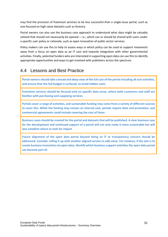may find the provision of freemium services to be less successful than a single-issue portal, such as one focused on high value datasets such as forestry.

Portal owners can also use the business case approach to understand what data might be valuably utilised that should not necessarily be opened – i.e., which can or should be shared with users under a specific user policy or rationale, such as open innovation of public sector services.

Policy makers can use this to help to assess ways in which policy can be used to support movement away from a focus on open data as an IT cost and towards integration with other governmental activities. Finally, potential funders who are interested in supporting open data can use this to identify appropriate opportunities and ways to get involved with publishers across the spectrum.

# <span id="page-30-0"></span>4.4 Lessons and Best Practice

**Portal owners should take a broad and deep view of the full cost of the portal including all cost activities, and ensure that the full budget is surfaced, to avoid hidden costs**

**Freemium services should be focused only on specific data areas, where both customers and staff are familiar with purchasing and supplying services**

**Portals cover a range of activities, and sustainable funding may come from a variety of different sources to cover this. While the hosting may remain an internal cost, portals require data and promotion, and commercial agreements could include covering the cost of these**

**Business cases should be created for the portal and datasets that will be published. A clear business case for the development and continued support of a portal will not only make it more sustainable but will also establish where to look for impact**

**Future alignment of the open data portal beyond being an IT or transparency concern should be addressed. Consider rolling it up with another aligned service to add value. For instance, if the aim is to create business innovation via open data, identify which business support activities the open data portal can become part of.**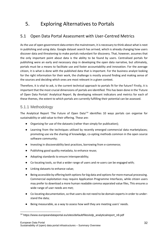# <span id="page-31-0"></span>5. Exploring Alternatives to Portals

# <span id="page-31-1"></span>5.1 Open Data Portal Assessment with User-Centred Metrics

As the use of open government data enters the mainstream, it is necessary to think about what is next in publishing and using data. Google dataset search has arrived, which is already changing how users discover data and threatening to make portals redundant for discovery. That, however, assumes that the only important point about data is the ability to be found by users. Centralised portals for publishing were an early and necessary step in developing the open data narrative, but ultimately, portals must be a means to facilitate use and foster accountability and innovation. For the average citizen, it is what is done with the published data that is important. For the business analyst looking for the right information for their work, the challenge is mostly around finding and making sense of the sources and deciding which ones are most relevant in a given context.

Therefore, it is vital to ask, is the current technical approach to portals fit for the future? Firstly, it is important that the most crucial dimensions of portals are identified. This has been done in the 'Future of Open Data Portals' Analytical Report. By developing relevant indicators and metrics for each of these themes, the extent to which portals are currently fulfilling their potential can be assessed.

### <span id="page-31-2"></span>5.1.1 Methodology

The Analytical Report 'The Future of Open Data'<sup>14</sup> identifies 10 ways portals can organise for sustainability or add value to their offering. These are:

- Organising for use of the datasets (rather than simply for publication);
- Learning from the techniques utilised by recently emerged commercial data marketplaces; promoting use via the sharing of knowledge, co-opting methods common in the open source software community;
- Investing in discoverability best practices, borrowing from e-commerce;
- Publishing good quality metadata, to enhance reuse;
- Adopting standards to ensure interoperability;
- Co-locating tools, so that a wider range of users and re-users can be engaged with;
- Linking datasets to enhance value;
- Being accessible by offering both options for big data and options for more manual processing. Commercial exploitation may require Application Programme Interfaces, while citizen users may prefer to download a more human readable comma separated value files, This ensures a wide range of user needs are met;
- Co-locating documentation, so that users do not need to be domain experts in order to understand the data;
- Being measurable, as a way to assess how well they are meeting users' needs.

<sup>&</sup>lt;sup>14</sup> https://www.europeandataportal.eu/sites/default/files/edp\_analyticalreport\_n8.pdf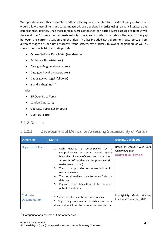We operationalised this research by either selecting from the literature or developing metrics that would allow these dimensions to be measured. We developed metrics using relevant literature and established guidelines. Once these metrics were established, ten portals were assessed as to how well they met the 10 user-oriented sustainability principles, in order to establish the size of the gap between the current situation and the ideal. The list included EU government data portals from different stages of Open Data Maturity (trend-setters, fast-trackers, followers, beginners), as well as some other specialist open data portals:

- Cyprus National Data Portal (trend-setter)
- Avoindata.fi (fast-tracker)
- Data.gov Belgium (fast-tracker)
- Data.gov Slovakia (fast-tracker)
- Dados.gov Portugal (follower)
- $\bullet$  Island.is (beginner)<sup>15</sup>

#### plus

- EU Open Data Portal
- London Datastore;
- Geo Data Portal Luxembourg
- Open Data Trent

#### <span id="page-32-0"></span>5.1.2 Results

### 5.1.2.1 Development of Metrics for Assessing Sustainability of Portals

| <b>Dimension</b>                  | <b>Metric</b>                                                                                                                                                                                                                                                                                                                                                                                                                      | <b>Existing/Developed</b>                                                       |
|-----------------------------------|------------------------------------------------------------------------------------------------------------------------------------------------------------------------------------------------------------------------------------------------------------------------------------------------------------------------------------------------------------------------------------------------------------------------------------|---------------------------------------------------------------------------------|
| <b>Organise for Use</b>           | dataset is accompanied<br>1. Each<br>by a<br>comprehensive descriptive record (going<br>beyond a collection of structured metadata).<br>2. An extract of the data can be previewed (for<br>easier sense making).<br>The portal provides recommendations for<br>3.<br>related datasets.<br>The portal enables users to review/rate the<br>4.<br>datasets.<br>Keywords from datasets are linked to other<br>5.<br>published datasets | Based on Opquast Web Data<br><b>Quality Checklist</b><br>http://opquast.com/en/ |
| Co-locate<br><b>Documentation</b> | 1. Supporting documentation does not exist.<br>2. Supporting documentation exists but as a<br>document which has to be found separately from                                                                                                                                                                                                                                                                                       | Intelligibility Metric, Walker,<br>Frank and Thompson, 2015                     |

#### <sup>15</sup> Categorisations correct at time of research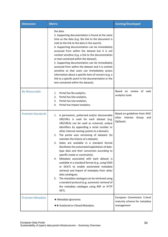| <b>Dimension</b>         | <b>Metric</b>                                                                                                                                                                                                                                                                                                                                                                                                                                                                                                                                                                                                                                                                                                                                                                                                                                                                                              | <b>Existing/Developed</b>                                                 |
|--------------------------|------------------------------------------------------------------------------------------------------------------------------------------------------------------------------------------------------------------------------------------------------------------------------------------------------------------------------------------------------------------------------------------------------------------------------------------------------------------------------------------------------------------------------------------------------------------------------------------------------------------------------------------------------------------------------------------------------------------------------------------------------------------------------------------------------------------------------------------------------------------------------------------------------------|---------------------------------------------------------------------------|
|                          | the data.<br>3. Supporting documentation is found at the same<br>time as the data (e.g. the link to the document is<br>next to the link to the data in the search).<br>4. Supporting documentation can be immediately<br>accessed from within the dataset but it is not<br>context sensitive (e.g. a link to the documentation<br>or text contained within the dataset).<br>5. Supporting documentation can be immediately<br>accessed from within the dataset and it is context<br>sensitive so that users can immediately access<br>information about a specific item of concern (e.g. a<br>link to a specific point in the documentation or the<br>text contained within the dataset).                                                                                                                                                                                                                  |                                                                           |
| <b>Be Measurable</b>     | Portal has No analytics.<br>1.<br>Portal has Site analytics.<br>2.<br>Portal has Use analytics.<br>3.<br>Portal has Impact analytics.<br>4.                                                                                                                                                                                                                                                                                                                                                                                                                                                                                                                                                                                                                                                                                                                                                                | Based on review<br>of web<br>analytics tools                              |
| <b>Promote Standards</b> | A permanent, patterned and/or discoverable<br>1.<br>URI/URLs is used for each dataset (e.g.<br>URI/URLSs can be used as universal, unique<br>identifiers by appending a serial number or<br>other internal naming system to a domain).<br>The portal uses versioning of datasets (to<br>2.<br>maintain the history of a dataset).<br>Dates are available in a standard format<br>3.<br>(facilitates the automated exploitation of date-<br>type data and their conversion according to<br>specific needs or constraints).<br>Metadata associated with each dataset is<br>4.<br>available in a standard format (e.g. using VOID<br>or DCAT) to enable automated metadata<br>retrieval and import of metadata from other<br>data catalogues.<br>The metadata catalogue can be retrieved using<br>5.<br>a standard protocol (e.g. automatic retrieval of<br>the metadata catalogue using RDF or HTTP<br>GET). | Based on guidelines from W3C<br>eGov Interest Group<br>and<br>OpQuast.    |
| <b>Promote Metadata</b>  | ★ Metadata Ignorance.<br>★★ Scattered or Closed Metadata.                                                                                                                                                                                                                                                                                                                                                                                                                                                                                                                                                                                                                                                                                                                                                                                                                                                  | European Commission 5-level<br>maturity schema for metadata<br>management |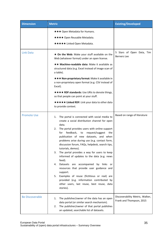| <b>Dimension</b>       | <b>Metric</b>                                                                                                                                                                                                                                                                                                                                                                                                                                                                                                                                                                                                                                                                                                                                                           | <b>Existing/Developed</b>                                   |
|------------------------|-------------------------------------------------------------------------------------------------------------------------------------------------------------------------------------------------------------------------------------------------------------------------------------------------------------------------------------------------------------------------------------------------------------------------------------------------------------------------------------------------------------------------------------------------------------------------------------------------------------------------------------------------------------------------------------------------------------------------------------------------------------------------|-------------------------------------------------------------|
|                        | <b>★★★ Open Metadata for Humans.</b><br><b>★★★★ Open Reusable Metadata.</b><br><b>★★★★★</b> Linked Open Metadata.                                                                                                                                                                                                                                                                                                                                                                                                                                                                                                                                                                                                                                                       |                                                             |
| <b>Link Data</b>       | ★ On the Web: Make your stuff available on the<br>Web (whatever format) under an open license.<br>★★ Machine-readable data: Make it available as<br>structured data (e.g. Excel instead of image scan of<br>a table).<br><b>★★★ Non-proprietary format:</b> Make it available in<br>a non-proprietary open format (e.g. CSV instead of<br>Excel).<br><b>★★★★ RDF standards:</b> Use URIs to denote things,<br>so that people can point at your stuff.<br>***** Linked RDF: Link your data to other data<br>to provide context.                                                                                                                                                                                                                                          | 5 Stars of Open Data, Tim<br><b>Berners</b> Lee             |
| <b>Promote Use</b>     | The portal is connected with social media to<br>1.<br>create a social distribution channel for open<br>data.<br>The portal provides users with online support<br>2.<br>feedback,<br>request/suggest<br>for<br>to<br>the<br>publication of new datasets, and when<br>problems arise during use (e.g. contact form,<br>discussion forum, FAQs, helpdesk, search tips,<br>tutorials, demos).<br>The portal provides a way for users to keep<br>3.<br>informed of updates to the data (e.g. news<br>feed).<br>Datasets are accompanied<br>by links or<br>4.<br>resources that provide user guidance and<br>support.<br>5. Examples of reuse (fictitious or real) are<br>provided (e.g. information contributed by<br>other users, last reuse, best reuse, data<br>stories). | Based on range of literature                                |
| <b>Be Discoverable</b> | The publisher/owner of the data has an open<br>1.<br>data portal (or similar search mechanism).<br>The publisher/owner of that portal publishes<br>2.<br>an updated, searchable list of datasets.                                                                                                                                                                                                                                                                                                                                                                                                                                                                                                                                                                       | Discoverability Metric, Walker,<br>Frank and Thompson, 2015 |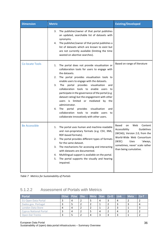| <b>Dimension</b>       | <b>Metric</b>                                                                                                                                                                                                                                                                                                                                                                                                                                                                                                                                                                                                                                     | <b>Existing/Developed</b>                                                                                                                                                                                                  |
|------------------------|---------------------------------------------------------------------------------------------------------------------------------------------------------------------------------------------------------------------------------------------------------------------------------------------------------------------------------------------------------------------------------------------------------------------------------------------------------------------------------------------------------------------------------------------------------------------------------------------------------------------------------------------------|----------------------------------------------------------------------------------------------------------------------------------------------------------------------------------------------------------------------------|
|                        | The publisher/owner of that portal publishes<br>3.<br>an updated, searchable list of datasets with<br>synonyms.<br>The publisher/owner of that portal publishes a<br>4.<br>list of datasets which are known to exist but<br>are not currently available (limiting the time<br>wasted on abortive searches).                                                                                                                                                                                                                                                                                                                                       |                                                                                                                                                                                                                            |
| <b>Co-locate Tools</b> | The portal does not provide visualisation or<br>1.<br>collaboration tools for users to engage with<br>the datasets.<br>The portal provides visualisation tools to<br>2.<br>enable users to engage with the datasets.<br>provides<br>visualisation<br>3.<br>The<br>portal<br>and<br>collaboration tools to enable users to<br>participate in the governance of the portal (e.g.<br>dataset rating) but the engagement with other<br>users is limited or mediated<br>by the<br>administrator.<br>provides<br>visualisation<br>The<br>portal<br>4.<br>and<br>collaboration tools to enable users<br>to<br>collaborate innovatively with other users. | Based on range of literature                                                                                                                                                                                               |
| <b>Be Accessible</b>   | The portal uses human and machine-readable<br>1.<br>and non-proprietary formats (e.g. CSV, XML,<br>RDF-based formats).<br>The portal provides different types of formats<br>2.<br>for the same dataset.<br>The mechanisms for accessing and interacting<br>3.<br>with datasets are documented.<br>Multilingual support is available on the portal.<br>4.<br>The portal supports the visually and hearing<br>5.<br>impaired.                                                                                                                                                                                                                       | <b>Based</b><br>Web<br>Content<br>on<br>Guidelines<br>Accessibility<br>(WCAG), Version 2.0, from the<br>World-Wide Web Consortium<br>(W3C)<br>Uses<br>'always,<br>sometimes, never' scale rather<br>than being cumulative. |

*Table 7 Metrics for Sustainability of Portals*

## 5.1.2.2 Assessment of Portals with Metrics

| <b>Portal</b>                 | OUse PUse Disc |   | Meta   Stan   Co-D   Link |   |  | <b>Meta</b> | $Co-I$ |
|-------------------------------|----------------|---|---------------------------|---|--|-------------|--------|
| EU Open Data Portal           |                | 4 |                           | 4 |  |             |        |
| Dados.gov. Portugal           |                |   |                           |   |  |             |        |
| London Data Store             |                | 4 |                           |   |  |             |        |
| <b>Cyprus National Portal</b> |                | 4 |                           | 4 |  |             |        |
| Open Dat Trento               |                |   |                           |   |  |             |        |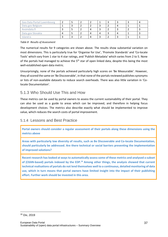| Geo Data Portal Luxembourg |   |  |  |  |  |
|----------------------------|---|--|--|--|--|
| Data.gov Belgium           |   |  |  |  |  |
| Avoindata.fi               |   |  |  |  |  |
| Data.gov Slovakia          | 4 |  |  |  |  |
| Island.is                  |   |  |  |  |  |

#### *Table 8 Results of Assessment*

The numerical results for 9 categories are shown above. The results show substantial variation on most dimensions. This is particularly true for 'Organise for Use', 'Promote Standards' and 'Co-locate Tools' which vary from 1 star to 4 star ratings, and 'Publish Metadata' which varies from 2 to 5. None of the portals had managed to achieve the 5<sup>th</sup> star of open linked data, despite this being the most well-established open data metric.

Unsurprisingly, none of the portals achieved particularly high scores on 'Be Measurable'. However, they all scored the same on 'Be Discoverable', in that none of the portals reviewed publishes synonyms or lists of non-available datasets to reduce search overheads. There was also little variation in 'Colocate Documentation'.

### <span id="page-36-0"></span>5.1.3 Who Should Use This and How

These metrics can be used by portal owners to assess the current sustainability of their portal. They can also be used as a guide to areas which can be improved, and therefore in helping focus development choices. The metrics also describe exactly what should be implemented to improve value, which reduces the search costs of portal improvement.

#### <span id="page-36-1"></span>5.1.4 Lessons and Best Practice

**Portal owners should consider a regular assessment of their portals along these dimensions using the metrics above**

**Areas with particularly low diversity of results, such as Be Discoverable and Co-locate Documentation, should particularly be addressed. Are there technical or social barriers preventing the implementation of improved solutions?**

**Recent research has looked at ways to automatically assess some of these metrics and analysed a subset of (CKAN-based) portals indexed by the EDP.<sup>16</sup> Among other things, the analysis showed that current technical realisations of portals do not lend themselves well to a continuous, detailed monitoring of data use, which in turn means that portal owners have limited insight into the impact of their publishing effort. Further work should be invested in this area.** 

<sup>16</sup> Dix, 2019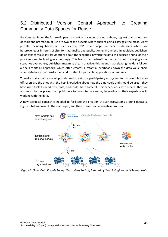# <span id="page-37-0"></span>5.2 Distributed Version Control Approach to Creating Community Data Spaces for Reuse

Previous studies on the future of open data portals, including the work above, suggest that co-location of tools and promotion of use are two of the aspects where current portals struggle the most. Many portals, including harvesters such as the EDP, cover large numbers of datasets which are heterogeneous in terms of size, format, quality and publication environment. In addition, publishers do or cannot make any assumptions about the scenarios in which the data will be used and tailor their processes and technologies accordingly. This leads to a trade-off. In theory, by not privileging some scenarios over others, publishers maximise use; in practice, this means that releasing the data follows a one-size-fits-all approach, which often creates substantial overheads down the data value chain when data has to be transformed and curated for particular applications or skill sets.

To make portals more useful, portals need to set up a participatory ecosystem to manage this tradeoff. Users are the ones with the best knowledge about how the data could and should be used - they have used tools to handle the data, and could share some of their experiences with others. They are also much better placed than publishers to promote data reuse, leveraging on their experiences in working with the data.

A new technical concept is needed to facilitate the creation of such ecosystems around datasets. Figure 3 below presents the status quo, and then presents an alternative proposal.



*Figure 3: Open Data Portals Today: Centralised Portals, Indexed by Search Engines and Meta-portals*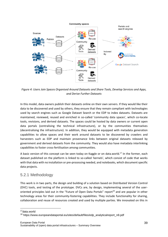

*Figure 4: Users Join Spaces Organised Around Datasets and Share Tools, Develop Services and Apps, and Derive Further Datasets*

In this model, data owners publish their datasets online on their own servers. If they would like their data to be discovered and used by others, they ensure that they remain compliant with technologies used by search engines such as Google Dataset Search or the EDP to index datasets. Datasets are maintained, reviewed, reused and enriched in so-called 'community data spaces', which co-locate tools, revisions, and derived datasets. The spaces could be hosted by data owners or current open data portals (centralising the technical infrastructure), or by the communities themselves (decentralising the infrastructure). In addition, they would be equipped with metadata generation capabilities to allow spaces and their work around datasets to be discovered by crawlers and harvesters such as EDP and maintain provenance links between original datasets released by government and derived datasets from the community. They would also have metadata interlinking capabilities to foster cross-fertilisation among communities.

A basic version of this concept can be seen today on Kaggle or on data.world.<sup>17</sup> In the former, each dataset published on the platform is linked to so-called 'kernels', which consist of code that works with that data with no installation or pre-processing needed, and notebooks, which document specific data projects.

### <span id="page-38-0"></span>5.2.1 Methodology

This work is in two parts, the design and building of a solution based on Distributed Version Control (DVC) tools, and testing of the prototype. DVCs are, by design, implementing several of the useroriented principles laid out in the "Future of Open Data Portals" report<sup>18</sup> and are popular in other technology areas for their community-fostering capabilities. They include functionality for sharing, collaboration and reuse of resources created and used by multiple parties. We innovated on this in

<sup>17</sup>data.world

<sup>&</sup>lt;sup>18</sup> https://www.europeandataportal.eu/sites/default/files/edp\_analyticalreport\_n8.pdf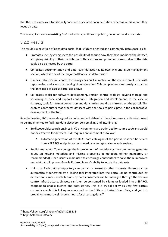that these resources are traditionally code and associated documentation, whereas in this variant they focus on data.

This concept extends an existing DVC tool with capabilities to publish, document and store data.

### <span id="page-39-0"></span>5.2.2 Results

The result is a new type of open data portal that is future oriented as a community data space, as it:

- Promotes use: by giving users the possibility of sharing how they have modified the dataset, and giving visibility to their contributions. Data stories and prominent case studies of the data could also be hosted by the portal
- Co-locates documentation and data: Each dataset has its own wiki and issue management section, which is one of the major bottlenecks in data reuse<sup>19</sup>
- Is measurable: version control technology has built-in metrics on the interaction of users with repositories, and allow the tracking of collaboration. This complements web analytics such as the ones used to assess portal use above
- Co-locates tools: for software development, version control tools go beyond storage and versioning of code and support continuous integration and development. In the case of datasets, tools for format conversion and data linking could be mirrored on the portal. This enables contributors that process datasets with the tools to participate in the collaborative development of the tool.

As noted earlier, DVCs were designed for code, and not datasets. Therefore, several extensions need to be implemented to facilitate data discovery, sensemaking and interlinking:

- Be discoverable: search engines in VC environments are optimized for source code and would not be effective for datasets. DVC requires enhancement as follows:
	- Automatic generation of the DCAT data catalogue of the portal, so it can be served from a SPARQL endpoint or consumed by a metaportal or search engine.
- Publish metadata: To encourage the improvement of metadata by the community, generate issues on missing metadata and missing properties in metadata (either mandatory or recommended). Open issues can be used to encourage contributors to solve them. Improved metadata also improves Google Dataset Search's ability to locate the data sets.
- Link data: Each dataset repository can contain a link-set to other datasets. Linksets can be automatically generated by a linking tool integrated into the portal, or be contributed by dataset consumers. Contributions by data consumers will be managed through the version control infrastructure. Linksets can then be consumed by clients or loaded into a SPARQL endpoint to enable queries and data stories. This is a crucial ability as very few portals currently enable this linking as measured by the 5 Stars of Linked Open Data, and yet it is probably the most well-known metric for assessing data.<sup>20</sup>

<sup>19</sup> https://dl.acm.org/citation.cfm?id=3025838

<sup>20</sup> http://5stardata.info/en/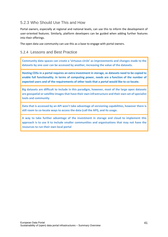## <span id="page-40-0"></span>5.2.3 Who Should Use This and How

Portal owners, especially at regional and national levels, can use this to inform the development of user-oriented features. Similarly, platform developers can be guided when adding further features into their offerings.

The open data use community can use this as a base to engage with portal owners.

### <span id="page-40-1"></span>5.2.4 Lessons and Best Practice

**Community data spaces can create a 'virtuous circle' as improvements and changes made to the datasets by one user can be accessed by another, increasing the value of the datasets.**

**Hosting CDSs in a portal requires an extra investment in storage, as datasets need to be copied to enable full functionality. In terms of computing power, needs are a function of the number of expected users and of the requirements of other tools that a portal would like to co-locate.**

**Big datasets are difficult to include in this paradigm, however, most of the large open datasets are geospatial or satellite images that have their own infrastructure and their own set of specialist tools and community**

**Data that is accessed by an API won't take advantage of versioning capabilities, however there is still room to co-locate ways to access the data (call the API), and its usage.**

**A way to take further advantage of the investment in storage and cloud to implement this approach is to use it to include smaller communities and organisations that may not have the resources to run their own local portal**